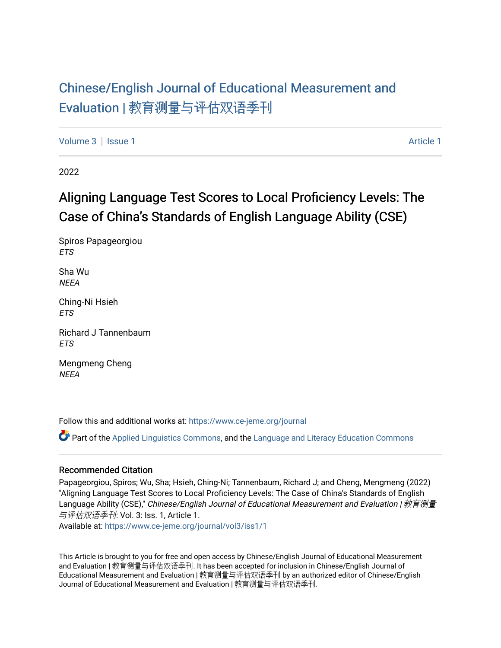## [Chinese/English Journal of Educational Measurement and](https://www.ce-jeme.org/journal) Evaluation | [教育测量与评估双语季刊](https://www.ce-jeme.org/journal)

[Volume 3](https://www.ce-jeme.org/journal/vol3) | [Issue 1](https://www.ce-jeme.org/journal/vol3/iss1) [Article 1](https://www.ce-jeme.org/journal/vol3/iss1/1) Article 1 Article 1 Article 1 Article 1 Article 1 Article 1 Article 1 Article 1 A

2022

# Aligning Language Test Scores to Local Proficiency Levels: The Case of China's Standards of English Language Ability (CSE)

Spiros Papageorgiou **ETS** 

Sha Wu **NEEA** 

Ching-Ni Hsieh ETS

Richard J Tannenbaum ETS

Mengmeng Cheng **NFFA** 

Follow this and additional works at: [https://www.ce-jeme.org/journal](https://www.ce-jeme.org/journal?utm_source=www.ce-jeme.org%2Fjournal%2Fvol3%2Fiss1%2F1&utm_medium=PDF&utm_campaign=PDFCoverPages) 

Part of the [Applied Linguistics Commons,](http://network.bepress.com/hgg/discipline/373?utm_source=www.ce-jeme.org%2Fjournal%2Fvol3%2Fiss1%2F1&utm_medium=PDF&utm_campaign=PDFCoverPages) and the [Language and Literacy Education Commons](http://network.bepress.com/hgg/discipline/1380?utm_source=www.ce-jeme.org%2Fjournal%2Fvol3%2Fiss1%2F1&utm_medium=PDF&utm_campaign=PDFCoverPages) 

## Recommended Citation

Papageorgiou, Spiros; Wu, Sha; Hsieh, Ching-Ni; Tannenbaum, Richard J; and Cheng, Mengmeng (2022) "Aligning Language Test Scores to Local Proficiency Levels: The Case of China's Standards of English Language Ability (CSE)," Chinese/English Journal of Educational Measurement and Evaluation | 教育测量 与评估双语季刊: Vol. 3: Iss. 1, Article 1.

Available at: [https://www.ce-jeme.org/journal/vol3/iss1/1](https://www.ce-jeme.org/journal/vol3/iss1/1?utm_source=www.ce-jeme.org%2Fjournal%2Fvol3%2Fiss1%2F1&utm_medium=PDF&utm_campaign=PDFCoverPages) 

This Article is brought to you for free and open access by Chinese/English Journal of Educational Measurement and Evaluation | 教育测量与评估双语季刊. It has been accepted for inclusion in Chinese/English Journal of Educational Measurement and Evaluation | 教育测量与评估双语季刊 by an authorized editor of Chinese/English Journal of Educational Measurement and Evaluation | 教育测量与评估双语季刊.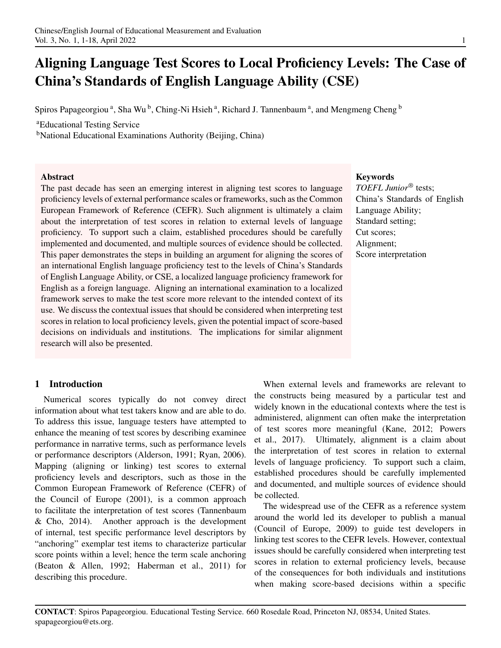# Aligning Language Test Scores to Local Proficiency Levels: The Case of China's Standards of English Language Ability (CSE)

Spiros Papageorgiou<sup>a</sup>, Sha Wu<sup>b</sup>, Ching-Ni Hsieh<sup>a</sup>, Richard J. Tannenbaum<sup>a</sup>, and Mengmeng Cheng<sup>b</sup>

<sup>a</sup>Educational Testing Service

<sup>b</sup>National Educational Examinations Authority (Beijing, China)

#### Abstract

The past decade has seen an emerging interest in aligning test scores to language proficiency levels of external performance scales or frameworks, such as the Common European Framework of Reference (CEFR). Such alignment is ultimately a claim about the interpretation of test scores in relation to external levels of language proficiency. To support such a claim, established procedures should be carefully implemented and documented, and multiple sources of evidence should be collected. This paper demonstrates the steps in building an argument for aligning the scores of an international English language proficiency test to the levels of China's Standards of English Language Ability, or CSE, a localized language proficiency framework for English as a foreign language. Aligning an international examination to a localized framework serves to make the test score more relevant to the intended context of its use. We discuss the contextual issues that should be considered when interpreting test scores in relation to local proficiency levels, given the potential impact of score-based decisions on individuals and institutions. The implications for similar alignment research will also be presented.

## 1 Introduction

Numerical scores typically do not convey direct information about what test takers know and are able to do. To address this issue, language testers have attempted to enhance the meaning of test scores by describing examinee performance in narrative terms, such as performance levels or performance descriptors (Alderson, 1991; Ryan, 2006). Mapping (aligning or linking) test scores to external proficiency levels and descriptors, such as those in the Common European Framework of Reference (CEFR) of the Council of Europe (2001), is a common approach to facilitate the interpretation of test scores (Tannenbaum & Cho, 2014). Another approach is the development of internal, test specific performance level descriptors by "anchoring" exemplar test items to characterize particular score points within a level; hence the term scale anchoring (Beaton & Allen, 1992; Haberman et al., 2011) for describing this procedure.

## Keywords

*TOEFL Junior*® tests; China's Standards of English Language Ability; Standard setting; Cut scores; Alignment; Score interpretation

When external levels and frameworks are relevant to the constructs being measured by a particular test and widely known in the educational contexts where the test is administered, alignment can often make the interpretation of test scores more meaningful (Kane, 2012; Powers et al., 2017). Ultimately, alignment is a claim about the interpretation of test scores in relation to external levels of language proficiency. To support such a claim, established procedures should be carefully implemented and documented, and multiple sources of evidence should be collected.

The widespread use of the CEFR as a reference system around the world led its developer to publish a manual (Council of Europe, 2009) to guide test developers in linking test scores to the CEFR levels. However, contextual issues should be carefully considered when interpreting test scores in relation to external proficiency levels, because of the consequences for both individuals and institutions when making score-based decisions within a specific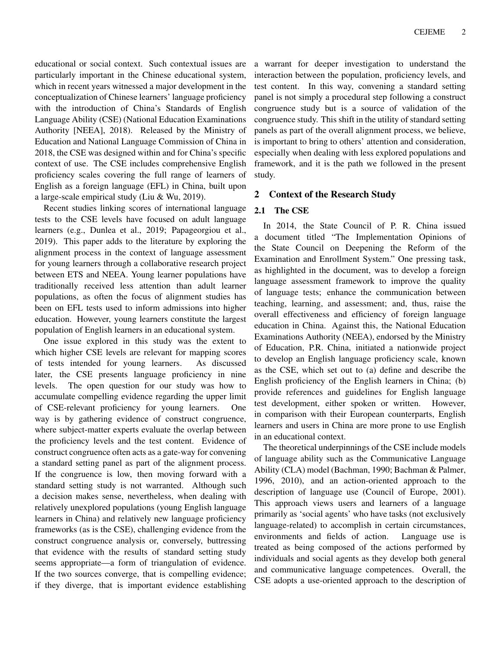educational or social context. Such contextual issues are particularly important in the Chinese educational system, which in recent years witnessed a major development in the conceptualization of Chinese learners' language proficiency with the introduction of China's Standards of English Language Ability (CSE) (National Education Examinations Authority [NEEA], 2018). Released by the Ministry of Education and National Language Commission of China in 2018, the CSE was designed within and for China's specific context of use. The CSE includes comprehensive English proficiency scales covering the full range of learners of English as a foreign language (EFL) in China, built upon a large-scale empirical study (Liu & Wu, 2019).

Recent studies linking scores of international language tests to the CSE levels have focused on adult language learners (e.g., Dunlea et al., 2019; Papageorgiou et al., 2019). This paper adds to the literature by exploring the alignment process in the context of language assessment for young learners through a collaborative research project between ETS and NEEA. Young learner populations have traditionally received less attention than adult learner populations, as often the focus of alignment studies has been on EFL tests used to inform admissions into higher education. However, young learners constitute the largest population of English learners in an educational system.

One issue explored in this study was the extent to which higher CSE levels are relevant for mapping scores of tests intended for young learners. As discussed later, the CSE presents language proficiency in nine levels. The open question for our study was how to accumulate compelling evidence regarding the upper limit of CSE-relevant proficiency for young learners. One way is by gathering evidence of construct congruence, where subject-matter experts evaluate the overlap between the proficiency levels and the test content. Evidence of construct congruence often acts as a gate-way for convening a standard setting panel as part of the alignment process. If the congruence is low, then moving forward with a standard setting study is not warranted. Although such a decision makes sense, nevertheless, when dealing with relatively unexplored populations (young English language learners in China) and relatively new language proficiency frameworks (as is the CSE), challenging evidence from the construct congruence analysis or, conversely, buttressing that evidence with the results of standard setting study seems appropriate—a form of triangulation of evidence. If the two sources converge, that is compelling evidence; if they diverge, that is important evidence establishing

a warrant for deeper investigation to understand the interaction between the population, proficiency levels, and test content. In this way, convening a standard setting panel is not simply a procedural step following a construct congruence study but is a source of validation of the congruence study. This shift in the utility of standard setting panels as part of the overall alignment process, we believe, is important to bring to others' attention and consideration, especially when dealing with less explored populations and framework, and it is the path we followed in the present study.

#### 2 Context of the Research Study

## 2.1 The CSE

In 2014, the State Council of P. R. China issued a document titled "The Implementation Opinions of the State Council on Deepening the Reform of the Examination and Enrollment System." One pressing task, as highlighted in the document, was to develop a foreign language assessment framework to improve the quality of language tests; enhance the communication between teaching, learning, and assessment; and, thus, raise the overall effectiveness and efficiency of foreign language education in China. Against this, the National Education Examinations Authority (NEEA), endorsed by the Ministry of Education, P.R. China, initiated a nationwide project to develop an English language proficiency scale, known as the CSE, which set out to (a) define and describe the English proficiency of the English learners in China; (b) provide references and guidelines for English language test development, either spoken or written. However, in comparison with their European counterparts, English learners and users in China are more prone to use English in an educational context.

The theoretical underpinnings of the CSE include models of language ability such as the Communicative Language Ability (CLA) model (Bachman, 1990; Bachman & Palmer, 1996, 2010), and an action-oriented approach to the description of language use (Council of Europe, 2001). This approach views users and learners of a language primarily as 'social agents' who have tasks (not exclusively language-related) to accomplish in certain circumstances, environments and fields of action. Language use is treated as being composed of the actions performed by individuals and social agents as they develop both general and communicative language competences. Overall, the CSE adopts a use-oriented approach to the description of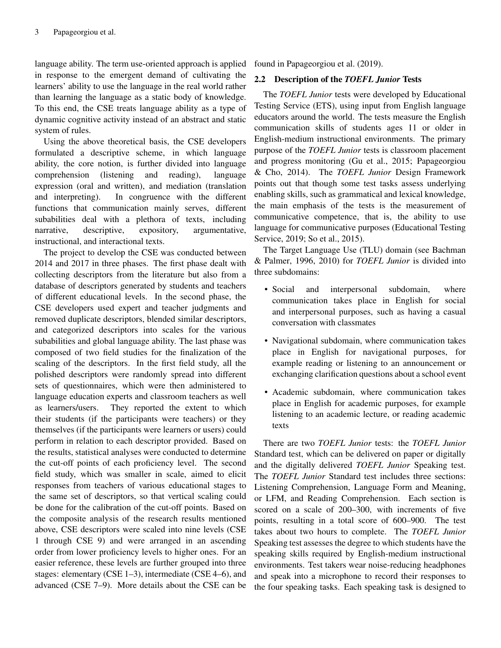language ability. The term use-oriented approach is applied in response to the emergent demand of cultivating the learners' ability to use the language in the real world rather than learning the language as a static body of knowledge. To this end, the CSE treats language ability as a type of dynamic cognitive activity instead of an abstract and static system of rules.

Using the above theoretical basis, the CSE developers formulated a descriptive scheme, in which language ability, the core notion, is further divided into language comprehension (listening and reading), language expression (oral and written), and mediation (translation and interpreting). In congruence with the different functions that communication mainly serves, different subabilities deal with a plethora of texts, including narrative, descriptive, expository, argumentative, instructional, and interactional texts.

The project to develop the CSE was conducted between 2014 and 2017 in three phases. The first phase dealt with collecting descriptors from the literature but also from a database of descriptors generated by students and teachers of different educational levels. In the second phase, the CSE developers used expert and teacher judgments and removed duplicate descriptors, blended similar descriptors, and categorized descriptors into scales for the various subabilities and global language ability. The last phase was composed of two field studies for the finalization of the scaling of the descriptors. In the first field study, all the polished descriptors were randomly spread into different sets of questionnaires, which were then administered to language education experts and classroom teachers as well as learners/users. They reported the extent to which their students (if the participants were teachers) or they themselves (if the participants were learners or users) could perform in relation to each descriptor provided. Based on the results, statistical analyses were conducted to determine the cut-off points of each proficiency level. The second field study, which was smaller in scale, aimed to elicit responses from teachers of various educational stages to the same set of descriptors, so that vertical scaling could be done for the calibration of the cut-off points. Based on the composite analysis of the research results mentioned above, CSE descriptors were scaled into nine levels (CSE 1 through CSE 9) and were arranged in an ascending order from lower proficiency levels to higher ones. For an easier reference, these levels are further grouped into three stages: elementary (CSE 1–3), intermediate (CSE 4–6), and advanced (CSE 7–9). More details about the CSE can be

found in Papageorgiou et al. (2019).

## 2.2 Description of the *TOEFL Junior* Tests

The *TOEFL Junior* tests were developed by Educational Testing Service (ETS), using input from English language educators around the world. The tests measure the English communication skills of students ages 11 or older in English-medium instructional environments. The primary purpose of the *TOEFL Junior* tests is classroom placement and progress monitoring (Gu et al., 2015; Papageorgiou & Cho, 2014). The *TOEFL Junior* Design Framework points out that though some test tasks assess underlying enabling skills, such as grammatical and lexical knowledge, the main emphasis of the tests is the measurement of communicative competence, that is, the ability to use language for communicative purposes (Educational Testing Service, 2019; So et al., 2015).

The Target Language Use (TLU) domain (see Bachman & Palmer, 1996, 2010) for *TOEFL Junior* is divided into three subdomains:

- Social and interpersonal subdomain, where communication takes place in English for social and interpersonal purposes, such as having a casual conversation with classmates
- Navigational subdomain, where communication takes place in English for navigational purposes, for example reading or listening to an announcement or exchanging clarification questions about a school event
- Academic subdomain, where communication takes place in English for academic purposes, for example listening to an academic lecture, or reading academic texts

There are two *TOEFL Junior* tests: the *TOEFL Junior* Standard test, which can be delivered on paper or digitally and the digitally delivered *TOEFL Junior* Speaking test. The *TOEFL Junior* Standard test includes three sections: Listening Comprehension, Language Form and Meaning, or LFM, and Reading Comprehension. Each section is scored on a scale of 200–300, with increments of five points, resulting in a total score of 600–900. The test takes about two hours to complete. The *TOEFL Junior* Speaking test assesses the degree to which students have the speaking skills required by English-medium instructional environments. Test takers wear noise-reducing headphones and speak into a microphone to record their responses to the four speaking tasks. Each speaking task is designed to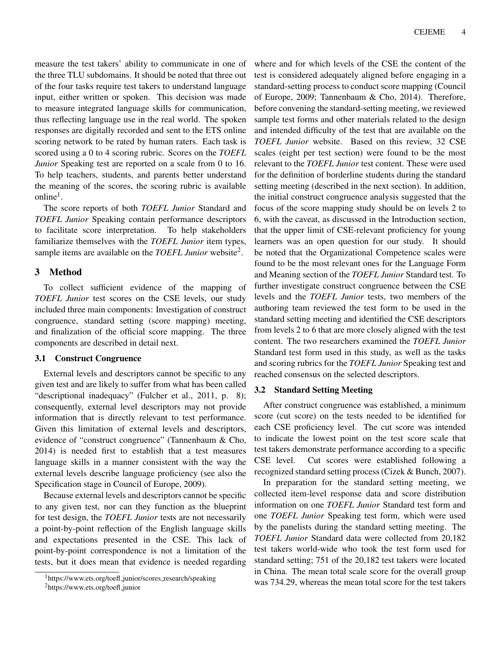measure the test takers' ability to communicate in one of the three TLU subdomains. It should be noted that three out of the four tasks require test takers to understand language input, either written or spoken. This decision was made to measure integrated language skills for communication, thus reflecting language use in the real world. The spoken responses are digitally recorded and sent to the ETS online scoring network to be rated by human raters. Each task is scored using a 0 to 4 scoring rubric. Scores on the *TOEFL Junior* Speaking test are reported on a scale from 0 to 16. To help teachers, students, and parents better understand the meaning of the scores, the scoring rubric is available online<sup>1</sup>.

The score reports of both *TOEFL Junior* Standard and *TOEFL Junior* Speaking contain performance descriptors to facilitate score interpretation. To help stakeholders familiarize themselves with the *TOEFL Junior* item types, sample items are available on the *TOEFL Junior* website<sup>2</sup>.

## 3 Method

To collect sufficient evidence of the mapping of *TOEFL Junior* test scores on the CSE levels, our study included three main components: Investigation of construct congruence, standard setting (score mapping) meeting, and finalization of the official score mapping. The three components are described in detail next.

## 3.1 Construct Congruence

External levels and descriptors cannot be specific to any given test and are likely to suffer from what has been called "descriptional inadequacy" (Fulcher et al., 2011, p. 8); consequently, external level descriptors may not provide information that is directly relevant to test performance. Given this limitation of external levels and descriptors, evidence of "construct congruence" (Tannenbaum & Cho, 2014) is needed first to establish that a test measures language skills in a manner consistent with the way the external levels describe language proficiency (see also the Specification stage in Council of Europe, 2009).

Because external levels and descriptors cannot be specific to any given test, nor can they function as the blueprint for test design, the *TOEFL Junior* tests are not necessarily a point-by-point reflection of the English language skills and expectations presented in the CSE. This lack of point-by-point correspondence is not a limitation of the tests, but it does mean that evidence is needed regarding

where and for which levels of the CSE the content of the test is considered adequately aligned before engaging in a standard-setting process to conduct score mapping (Council of Europe, 2009; Tannenbaum & Cho, 2014). Therefore, before convening the standard-setting meeting, we reviewed sample test forms and other materials related to the design and intended difficulty of the test that are available on the *TOEFL Junior* website. Based on this review, 32 CSE scales (eight per test section) were found to be the most relevant to the *TOEFL Junior* test content. These were used for the definition of borderline students during the standard setting meeting (described in the next section). In addition, the initial construct congruence analysis suggested that the focus of the score mapping study should be on levels 2 to 6, with the caveat, as discussed in the Introduction section, that the upper limit of CSE-relevant proficiency for young learners was an open question for our study. It should be noted that the Organizational Competence scales were found to be the most relevant ones for the Language Form and Meaning section of the *TOEFL Junior* Standard test. To further investigate construct congruence between the CSE levels and the *TOEFL Junior* tests, two members of the authoring team reviewed the test form to be used in the standard setting meeting and identified the CSE descriptors from levels 2 to 6 that are more closely aligned with the test content. The two researchers examined the *TOEFL Junior* Standard test form used in this study, as well as the tasks and scoring rubrics for the *TOEFL Junior* Speaking test and reached consensus on the selected descriptors.

## 3.2 Standard Setting Meeting

After construct congruence was established, a minimum score (cut score) on the tests needed to be identified for each CSE proficiency level. The cut score was intended to indicate the lowest point on the test score scale that test takers demonstrate performance according to a specific CSE level. Cut scores were established following a recognized standard setting process (Cizek & Bunch, 2007).

In preparation for the standard setting meeting, we collected item-level response data and score distribution information on one *TOEFL Junior* Standard test form and one *TOEFL Junior* Speaking test form, which were used by the panelists during the standard setting meeting. The *TOEFL Junior* Standard data were collected from 20,182 test takers world-wide who took the test form used for standard setting; 751 of the 20,182 test takers were located in China. The mean total scale score for the overall group was 734.29, whereas the mean total score for the test takers

<sup>&</sup>lt;sup>1</sup>https://www.ets.org/toefl\_junior/scores\_research/speaking

<sup>&</sup>lt;sup>2</sup>https://www.ets.org/toefl\_junior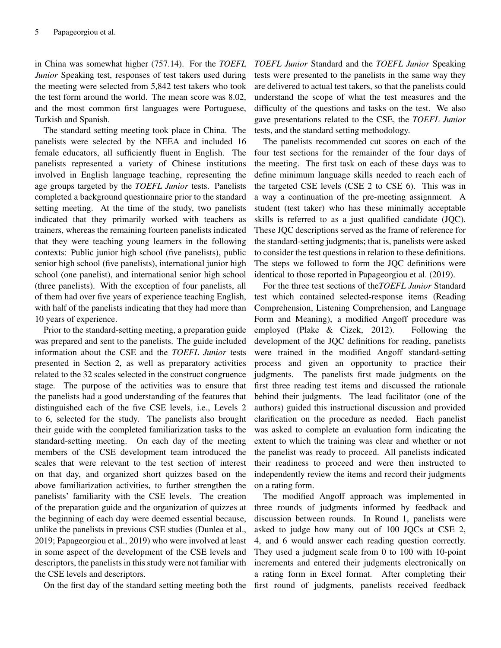in China was somewhat higher (757.14). For the *TOEFL Junior* Speaking test, responses of test takers used during the meeting were selected from 5,842 test takers who took the test form around the world. The mean score was 8.02, and the most common first languages were Portuguese, Turkish and Spanish.

The standard setting meeting took place in China. The panelists were selected by the NEEA and included 16 female educators, all sufficiently fluent in English. The panelists represented a variety of Chinese institutions involved in English language teaching, representing the age groups targeted by the *TOEFL Junior* tests. Panelists completed a background questionnaire prior to the standard setting meeting. At the time of the study, two panelists indicated that they primarily worked with teachers as trainers, whereas the remaining fourteen panelists indicated that they were teaching young learners in the following contexts: Public junior high school (five panelists), public senior high school (five panelists), international junior high school (one panelist), and international senior high school (three panelists). With the exception of four panelists, all of them had over five years of experience teaching English, with half of the panelists indicating that they had more than 10 years of experience.

Prior to the standard-setting meeting, a preparation guide was prepared and sent to the panelists. The guide included information about the CSE and the *TOEFL Junior* tests presented in Section 2, as well as preparatory activities related to the 32 scales selected in the construct congruence stage. The purpose of the activities was to ensure that the panelists had a good understanding of the features that distinguished each of the five CSE levels, i.e., Levels 2 to 6, selected for the study. The panelists also brought their guide with the completed familiarization tasks to the standard-setting meeting. On each day of the meeting members of the CSE development team introduced the scales that were relevant to the test section of interest on that day, and organized short quizzes based on the above familiarization activities, to further strengthen the panelists' familiarity with the CSE levels. The creation of the preparation guide and the organization of quizzes at the beginning of each day were deemed essential because, unlike the panelists in previous CSE studies (Dunlea et al., 2019; Papageorgiou et al., 2019) who were involved at least in some aspect of the development of the CSE levels and descriptors, the panelists in this study were not familiar with the CSE levels and descriptors.

On the first day of the standard setting meeting both the

*TOEFL Junior* Standard and the *TOEFL Junior* Speaking tests were presented to the panelists in the same way they are delivered to actual test takers, so that the panelists could understand the scope of what the test measures and the difficulty of the questions and tasks on the test. We also gave presentations related to the CSE, the *TOEFL Junior* tests, and the standard setting methodology.

The panelists recommended cut scores on each of the four test sections for the remainder of the four days of the meeting. The first task on each of these days was to define minimum language skills needed to reach each of the targeted CSE levels (CSE 2 to CSE 6). This was in a way a continuation of the pre-meeting assignment. A student (test taker) who has these minimally acceptable skills is referred to as a just qualified candidate (JQC). These JQC descriptions served as the frame of reference for the standard-setting judgments; that is, panelists were asked to consider the test questions in relation to these definitions. The steps we followed to form the JQC definitions were identical to those reported in Papageorgiou et al. (2019).

For the three test sections of the*TOEFL Junior* Standard test which contained selected-response items (Reading Comprehension, Listening Comprehension, and Language Form and Meaning), a modified Angoff procedure was employed (Plake & Cizek, 2012). Following the development of the JQC definitions for reading, panelists were trained in the modified Angoff standard-setting process and given an opportunity to practice their judgments. The panelists first made judgments on the first three reading test items and discussed the rationale behind their judgments. The lead facilitator (one of the authors) guided this instructional discussion and provided clarification on the procedure as needed. Each panelist was asked to complete an evaluation form indicating the extent to which the training was clear and whether or not the panelist was ready to proceed. All panelists indicated their readiness to proceed and were then instructed to independently review the items and record their judgments on a rating form.

The modified Angoff approach was implemented in three rounds of judgments informed by feedback and discussion between rounds. In Round 1, panelists were asked to judge how many out of 100 JQCs at CSE 2, 4, and 6 would answer each reading question correctly. They used a judgment scale from 0 to 100 with 10-point increments and entered their judgments electronically on a rating form in Excel format. After completing their first round of judgments, panelists received feedback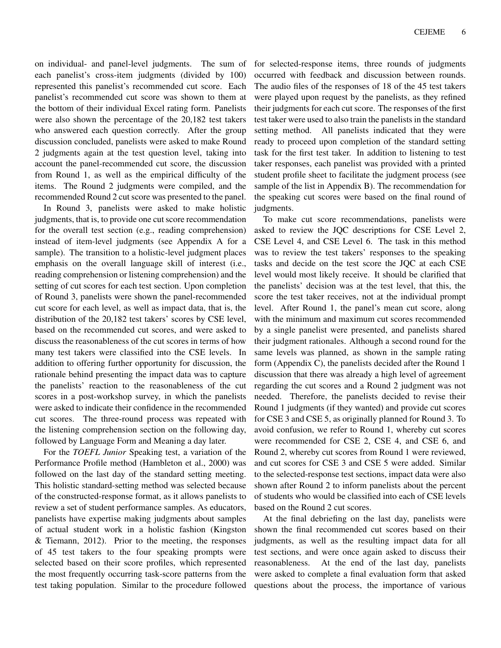on individual- and panel-level judgments. The sum of each panelist's cross-item judgments (divided by 100) represented this panelist's recommended cut score. Each panelist's recommended cut score was shown to them at the bottom of their individual Excel rating form. Panelists were also shown the percentage of the 20,182 test takers who answered each question correctly. After the group discussion concluded, panelists were asked to make Round 2 judgments again at the test question level, taking into account the panel-recommended cut score, the discussion from Round 1, as well as the empirical difficulty of the items. The Round 2 judgments were compiled, and the recommended Round 2 cut score was presented to the panel.

In Round 3, panelists were asked to make holistic judgments, that is, to provide one cut score recommendation for the overall test section (e.g., reading comprehension) instead of item-level judgments (see Appendix A for a sample). The transition to a holistic-level judgment places emphasis on the overall language skill of interest (i.e., reading comprehension or listening comprehension) and the setting of cut scores for each test section. Upon completion of Round 3, panelists were shown the panel-recommended cut score for each level, as well as impact data, that is, the distribution of the 20,182 test takers' scores by CSE level, based on the recommended cut scores, and were asked to discuss the reasonableness of the cut scores in terms of how many test takers were classified into the CSE levels. In addition to offering further opportunity for discussion, the rationale behind presenting the impact data was to capture the panelists' reaction to the reasonableness of the cut scores in a post-workshop survey, in which the panelists were asked to indicate their confidence in the recommended cut scores. The three-round process was repeated with the listening comprehension section on the following day, followed by Language Form and Meaning a day later.

For the *TOEFL Junior* Speaking test, a variation of the Performance Profile method (Hambleton et al., 2000) was followed on the last day of the standard setting meeting. This holistic standard-setting method was selected because of the constructed-response format, as it allows panelists to review a set of student performance samples. As educators, panelists have expertise making judgments about samples of actual student work in a holistic fashion (Kingston & Tiemann, 2012). Prior to the meeting, the responses of 45 test takers to the four speaking prompts were selected based on their score profiles, which represented the most frequently occurring task-score patterns from the test taking population. Similar to the procedure followed for selected-response items, three rounds of judgments occurred with feedback and discussion between rounds. The audio files of the responses of 18 of the 45 test takers were played upon request by the panelists, as they refined their judgments for each cut score. The responses of the first test taker were used to also train the panelists in the standard setting method. All panelists indicated that they were ready to proceed upon completion of the standard setting task for the first test taker. In addition to listening to test taker responses, each panelist was provided with a printed student profile sheet to facilitate the judgment process (see sample of the list in Appendix B). The recommendation for the speaking cut scores were based on the final round of judgments.

To make cut score recommendations, panelists were asked to review the JQC descriptions for CSE Level 2, CSE Level 4, and CSE Level 6. The task in this method was to review the test takers' responses to the speaking tasks and decide on the test score the JQC at each CSE level would most likely receive. It should be clarified that the panelists' decision was at the test level, that this, the score the test taker receives, not at the individual prompt level. After Round 1, the panel's mean cut score, along with the minimum and maximum cut scores recommended by a single panelist were presented, and panelists shared their judgment rationales. Although a second round for the same levels was planned, as shown in the sample rating form (Appendix C), the panelists decided after the Round 1 discussion that there was already a high level of agreement regarding the cut scores and a Round 2 judgment was not needed. Therefore, the panelists decided to revise their Round 1 judgments (if they wanted) and provide cut scores for CSE 3 and CSE 5, as originally planned for Round 3. To avoid confusion, we refer to Round 1, whereby cut scores were recommended for CSE 2, CSE 4, and CSE 6, and Round 2, whereby cut scores from Round 1 were reviewed, and cut scores for CSE 3 and CSE 5 were added. Similar to the selected-response test sections, impact data were also shown after Round 2 to inform panelists about the percent of students who would be classified into each of CSE levels based on the Round 2 cut scores.

At the final debriefing on the last day, panelists were shown the final recommended cut scores based on their judgments, as well as the resulting impact data for all test sections, and were once again asked to discuss their reasonableness. At the end of the last day, panelists were asked to complete a final evaluation form that asked questions about the process, the importance of various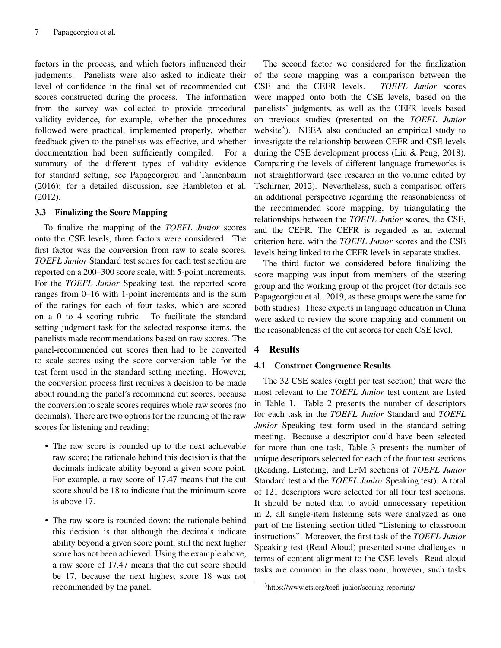factors in the process, and which factors influenced their judgments. Panelists were also asked to indicate their level of confidence in the final set of recommended cut scores constructed during the process. The information from the survey was collected to provide procedural validity evidence, for example, whether the procedures followed were practical, implemented properly, whether feedback given to the panelists was effective, and whether documentation had been sufficiently compiled. For a summary of the different types of validity evidence for standard setting, see Papageorgiou and Tannenbaum (2016); for a detailed discussion, see Hambleton et al. (2012).

## 3.3 Finalizing the Score Mapping

To finalize the mapping of the *TOEFL Junior* scores onto the CSE levels, three factors were considered. The first factor was the conversion from raw to scale scores. *TOEFL Junior* Standard test scores for each test section are reported on a 200–300 score scale, with 5-point increments. For the *TOEFL Junior* Speaking test, the reported score ranges from 0–16 with 1-point increments and is the sum of the ratings for each of four tasks, which are scored on a 0 to 4 scoring rubric. To facilitate the standard setting judgment task for the selected response items, the panelists made recommendations based on raw scores. The panel-recommended cut scores then had to be converted to scale scores using the score conversion table for the test form used in the standard setting meeting. However, the conversion process first requires a decision to be made about rounding the panel's recommend cut scores, because the conversion to scale scores requires whole raw scores (no decimals). There are two options for the rounding of the raw scores for listening and reading:

- The raw score is rounded up to the next achievable raw score; the rationale behind this decision is that the decimals indicate ability beyond a given score point. For example, a raw score of 17.47 means that the cut score should be 18 to indicate that the minimum score is above 17.
- The raw score is rounded down; the rationale behind this decision is that although the decimals indicate ability beyond a given score point, still the next higher score has not been achieved. Using the example above, a raw score of 17.47 means that the cut score should be 17, because the next highest score 18 was not recommended by the panel.

The second factor we considered for the finalization of the score mapping was a comparison between the CSE and the CEFR levels. *TOEFL Junior* scores were mapped onto both the CSE levels, based on the panelists' judgments, as well as the CEFR levels based on previous studies (presented on the *TOEFL Junior* website<sup>3</sup>). NEEA also conducted an empirical study to investigate the relationship between CEFR and CSE levels during the CSE development process (Liu & Peng, 2018). Comparing the levels of different language frameworks is not straightforward (see research in the volume edited by Tschirner, 2012). Nevertheless, such a comparison offers an additional perspective regarding the reasonableness of the recommended score mapping, by triangulating the relationships between the *TOEFL Junior* scores, the CSE, and the CEFR. The CEFR is regarded as an external criterion here, with the *TOEFL Junior* scores and the CSE levels being linked to the CEFR levels in separate studies.

The third factor we considered before finalizing the score mapping was input from members of the steering group and the working group of the project (for details see Papageorgiou et al., 2019, as these groups were the same for both studies). These experts in language education in China were asked to review the score mapping and comment on the reasonableness of the cut scores for each CSE level.

## 4 Results

## 4.1 Construct Congruence Results

The 32 CSE scales (eight per test section) that were the most relevant to the *TOEFL Junior* test content are listed in Table 1. Table 2 presents the number of descriptors for each task in the *TOEFL Junior* Standard and *TOEFL Junior* Speaking test form used in the standard setting meeting. Because a descriptor could have been selected for more than one task, Table 3 presents the number of unique descriptors selected for each of the four test sections (Reading, Listening, and LFM sections of *TOEFL Junior* Standard test and the *TOEFL Junior* Speaking test). A total of 121 descriptors were selected for all four test sections. It should be noted that to avoid unnecessary repetition in 2, all single-item listening sets were analyzed as one part of the listening section titled "Listening to classroom instructions". Moreover, the first task of the *TOEFL Junior* Speaking test (Read Aloud) presented some challenges in terms of content alignment to the CSE levels. Read-aloud tasks are common in the classroom; however, such tasks

<sup>3</sup>https://www.ets.org/toefl junior/scoring reporting/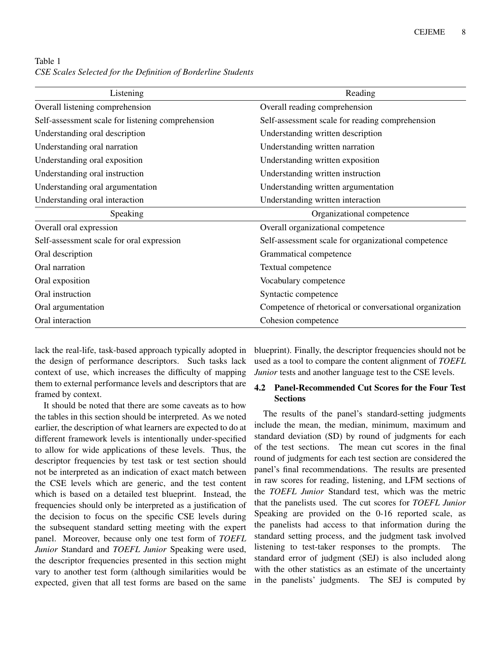Table 1 *CSE Scales Selected for the Definition of Borderline Students*

| Listening                                         | Reading                                                 |
|---------------------------------------------------|---------------------------------------------------------|
| Overall listening comprehension                   | Overall reading comprehension                           |
| Self-assessment scale for listening comprehension | Self-assessment scale for reading comprehension         |
| Understanding oral description                    | Understanding written description                       |
| Understanding oral narration                      | Understanding written narration                         |
| Understanding oral exposition                     | Understanding written exposition                        |
| Understanding oral instruction                    | Understanding written instruction                       |
| Understanding oral argumentation                  | Understanding written argumentation                     |
| Understanding oral interaction                    | Understanding written interaction                       |
| Speaking                                          | Organizational competence                               |
| Overall oral expression                           | Overall organizational competence                       |
| Self-assessment scale for oral expression         | Self-assessment scale for organizational competence     |
| Oral description                                  | Grammatical competence                                  |
| Oral narration                                    | Textual competence                                      |
| Oral exposition                                   | Vocabulary competence                                   |
| Oral instruction                                  | Syntactic competence                                    |
| Oral argumentation                                | Competence of rhetorical or conversational organization |
| Oral interaction                                  | Cohesion competence                                     |

lack the real-life, task-based approach typically adopted in the design of performance descriptors. Such tasks lack context of use, which increases the difficulty of mapping them to external performance levels and descriptors that are framed by context.

It should be noted that there are some caveats as to how the tables in this section should be interpreted. As we noted earlier, the description of what learners are expected to do at different framework levels is intentionally under-specified to allow for wide applications of these levels. Thus, the descriptor frequencies by test task or test section should not be interpreted as an indication of exact match between the CSE levels which are generic, and the test content which is based on a detailed test blueprint. Instead, the frequencies should only be interpreted as a justification of the decision to focus on the specific CSE levels during the subsequent standard setting meeting with the expert panel. Moreover, because only one test form of *TOEFL Junior* Standard and *TOEFL Junior* Speaking were used, the descriptor frequencies presented in this section might vary to another test form (although similarities would be expected, given that all test forms are based on the same

blueprint). Finally, the descriptor frequencies should not be used as a tool to compare the content alignment of *TOEFL Junior* tests and another language test to the CSE levels.

## 4.2 Panel-Recommended Cut Scores for the Four Test Sections

The results of the panel's standard-setting judgments include the mean, the median, minimum, maximum and standard deviation (SD) by round of judgments for each of the test sections. The mean cut scores in the final round of judgments for each test section are considered the panel's final recommendations. The results are presented in raw scores for reading, listening, and LFM sections of the *TOEFL Junior* Standard test, which was the metric that the panelists used. The cut scores for *TOEFL Junior* Speaking are provided on the 0-16 reported scale, as the panelists had access to that information during the standard setting process, and the judgment task involved listening to test-taker responses to the prompts. The standard error of judgment (SEJ) is also included along with the other statistics as an estimate of the uncertainty in the panelists' judgments. The SEJ is computed by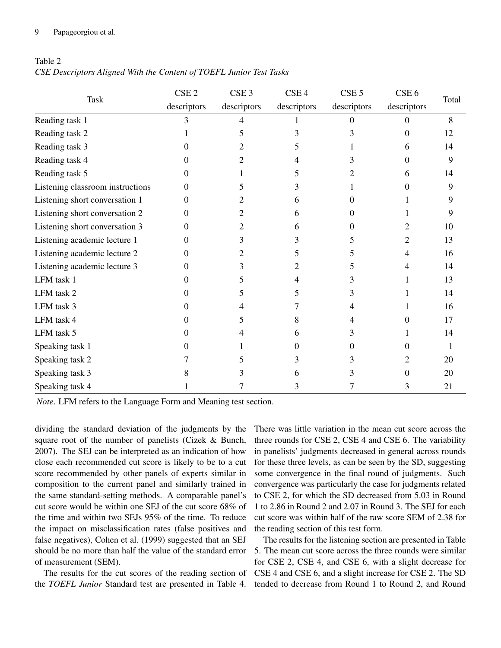#### 9 Papageorgiou et al.

| Table 2                                                             |  |
|---------------------------------------------------------------------|--|
| CSE Descriptors Aligned With the Content of TOEFL Junior Test Tasks |  |

| Task                             | CSE <sub>2</sub> | CSE <sub>3</sub> | CSE <sub>4</sub> | CSE <sub>5</sub> | CSE <sub>6</sub> | Total |
|----------------------------------|------------------|------------------|------------------|------------------|------------------|-------|
|                                  | descriptors      | descriptors      | descriptors      | descriptors      | descriptors      |       |
| Reading task 1                   | 3                | 4                |                  | 0                | $\Omega$         | 8     |
| Reading task 2                   |                  | 5                |                  | 3                | 0                | 12    |
| Reading task 3                   | $\theta$         |                  | 5                |                  | 6                | 14    |
| Reading task 4                   | $\theta$         | 2                |                  | 3                | $\theta$         | 9     |
| Reading task 5                   | 0                |                  |                  | 2                | 6                | 14    |
| Listening classroom instructions | 0                | C.               | 3                |                  |                  | 9     |
| Listening short conversation 1   | 0                |                  | 6                | 0                |                  | 9     |
| Listening short conversation 2   | 0                | 2                | 6                | 0                |                  | 9     |
| Listening short conversation 3   | 0                | 2                | 6                | 0                | 2                | 10    |
| Listening academic lecture 1     | 0                | 3                |                  | 5                | 2                | 13    |
| Listening academic lecture 2     | 0                | 2                | $\mathcal{L}$    | 5                | 4                | 16    |
| Listening academic lecture 3     | 0                | 3                |                  | 5.               | 4                | 14    |
| LFM task 1                       | 0                | 5                |                  | 3                |                  | 13    |
| LFM task 2                       | 0                | 5                | 5                | 3                |                  | 14    |
| LFM task 3                       | 0                |                  |                  | 4                |                  | 16    |
| LFM task 4                       | 0                | 5                | 8                | 4                | 0                | 17    |
| LFM task 5                       | $\theta$         |                  | h.               | 3                |                  | 14    |
| Speaking task 1                  | 0                |                  | 0                | 0                | 0                |       |
| Speaking task 2                  |                  | 5                |                  | 3                |                  | 20    |
| Speaking task 3                  |                  |                  |                  | 3                | 0                | 20    |
| Speaking task 4                  |                  |                  | 3                |                  | 3                | 21    |

*Note*. LFM refers to the Language Form and Meaning test section.

dividing the standard deviation of the judgments by the square root of the number of panelists (Cizek & Bunch, 2007). The SEJ can be interpreted as an indication of how close each recommended cut score is likely to be to a cut score recommended by other panels of experts similar in composition to the current panel and similarly trained in the same standard-setting methods. A comparable panel's cut score would be within one SEJ of the cut score 68% of the time and within two SEJs 95% of the time. To reduce the impact on misclassification rates (false positives and false negatives), Cohen et al. (1999) suggested that an SEJ should be no more than half the value of the standard error of measurement (SEM).

The results for the cut scores of the reading section of the *TOEFL Junior* Standard test are presented in Table 4.

There was little variation in the mean cut score across the three rounds for CSE 2, CSE 4 and CSE 6. The variability in panelists' judgments decreased in general across rounds for these three levels, as can be seen by the SD, suggesting some convergence in the final round of judgments. Such convergence was particularly the case for judgments related to CSE 2, for which the SD decreased from 5.03 in Round 1 to 2.86 in Round 2 and 2.07 in Round 3. The SEJ for each cut score was within half of the raw score SEM of 2.38 for the reading section of this test form.

The results for the listening section are presented in Table 5. The mean cut score across the three rounds were similar for CSE 2, CSE 4, and CSE 6, with a slight decrease for CSE 4 and CSE 6, and a slight increase for CSE 2. The SD tended to decrease from Round 1 to Round 2, and Round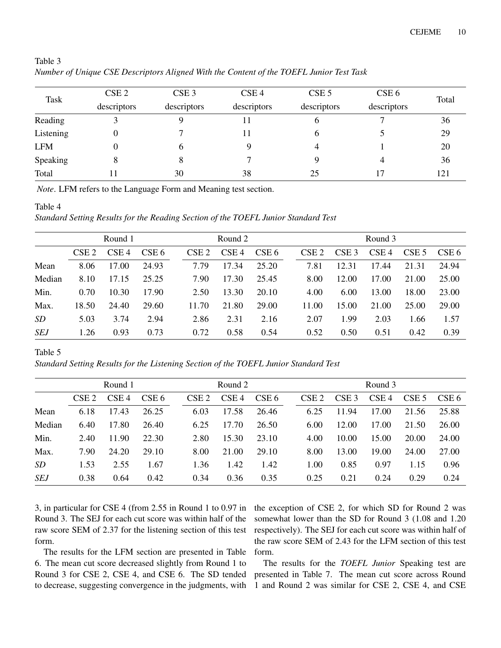| Task       | CSE <sub>2</sub> | CSE <sub>3</sub> | CSE <sub>4</sub> | CSE <sub>5</sub> | CSE <sub>6</sub> | Total |
|------------|------------------|------------------|------------------|------------------|------------------|-------|
|            | descriptors      | descriptors      | descriptors      | descriptors      | descriptors      |       |
| Reading    |                  |                  | 11               | 6                |                  | 36    |
| Listening  | 0                |                  |                  | 6                |                  | 29    |
| <b>LFM</b> | 0                | 6                |                  | 4                |                  | 20    |
| Speaking   | 8                | 8                |                  |                  | 4                | 36    |
| Total      |                  | 30               | 38               | 25               | 17               | 121   |

Table 3 *Number of Unique CSE Descriptors Aligned With the Content of the TOEFL Junior Test Task*

*Note*. LFM refers to the Language Form and Meaning test section.

#### Table 4

*Standard Setting Results for the Reading Section of the TOEFL Junior Standard Test*

|            | Round 1          |                  |       |                  | Round 2          |       |  | Round 3          |                  |                  |                  |       |
|------------|------------------|------------------|-------|------------------|------------------|-------|--|------------------|------------------|------------------|------------------|-------|
|            | CSE <sub>2</sub> | CSE <sub>4</sub> | CSE 6 | CSE <sub>2</sub> | CSE <sub>4</sub> | CSE 6 |  | CSE <sub>2</sub> | CSE <sub>3</sub> | CSE <sub>4</sub> | CSE <sub>5</sub> | CSE 6 |
| Mean       | 8.06             | 17.00            | 24.93 | 7.79             | 17.34            | 25.20 |  | 7.81             | 12.31            | 17.44            | 21.31            | 24.94 |
| Median     | 8.10             | 17.15            | 25.25 | 7.90             | 17.30            | 25.45 |  | 8.00             | 12.00            | 17.00            | 21.00            | 25.00 |
| Min.       | 0.70             | 10.30            | 17.90 | 2.50             | 13.30            | 20.10 |  | 4.00             | 6.00             | 13.00            | 18.00            | 23.00 |
| Max.       | 18.50            | 24.40            | 29.60 | 11.70            | 21.80            | 29.00 |  | 11.00            | 15.00            | 21.00            | 25.00            | 29.00 |
| SD         | 5.03             | 3.74             | 2.94  | 2.86             | 2.31             | 2.16  |  | 2.07             | 1.99             | 2.03             | 1.66             | 1.57  |
| <b>SEJ</b> | 1.26             | 0.93             | 0.73  | 0.72             | 0.58             | 0.54  |  | 0.52             | 0.50             | 0.51             | 0.42             | 0.39  |

Table 5

*Standard Setting Results for the Listening Section of the TOEFL Junior Standard Test*

|            |                  | Round 1          |       |                  | Round 2          |       |  | Round 3          |                  |                  |                  |       |
|------------|------------------|------------------|-------|------------------|------------------|-------|--|------------------|------------------|------------------|------------------|-------|
|            | CSE <sub>2</sub> | CSE <sub>4</sub> | CSE 6 | CSE <sub>2</sub> | CSE <sub>4</sub> | CSE 6 |  | CSE <sub>2</sub> | CSE <sub>3</sub> | CSE <sub>4</sub> | CSE <sub>5</sub> | CSE 6 |
| Mean       | 6.18             | 17.43            | 26.25 | 6.03             | 17.58            | 26.46 |  | 6.25             | 11.94            | 17.00            | 21.56            | 25.88 |
| Median     | 6.40             | 17.80            | 26.40 | 6.25             | 17.70            | 26.50 |  | 6.00             | 12.00            | 17.00            | 21.50            | 26.00 |
| Min.       | 2.40             | 11.90            | 22.30 | 2.80             | 15.30            | 23.10 |  | 4.00             | 10.00            | 15.00            | 20.00            | 24.00 |
| Max.       | 7.90             | 24.20            | 29.10 | 8.00             | 21.00            | 29.10 |  | 8.00             | 13.00            | 19.00            | 24.00            | 27.00 |
| SD         | 1.53             | 2.55             | 1.67  | 1.36             | 1.42             | 1.42  |  | 1.00             | 0.85             | 0.97             | 1.15             | 0.96  |
| <b>SEJ</b> | 0.38             | 0.64             | 0.42  | 0.34             | 0.36             | 0.35  |  | 0.25             | 0.21             | 0.24             | 0.29             | 0.24  |

3, in particular for CSE 4 (from 2.55 in Round 1 to 0.97 in Round 3. The SEJ for each cut score was within half of the raw score SEM of 2.37 for the listening section of this test form.

The results for the LFM section are presented in Table 6. The mean cut score decreased slightly from Round 1 to Round 3 for CSE 2, CSE 4, and CSE 6. The SD tended to decrease, suggesting convergence in the judgments, with the exception of CSE 2, for which SD for Round 2 was somewhat lower than the SD for Round 3 (1.08 and 1.20 respectively). The SEJ for each cut score was within half of the raw score SEM of 2.43 for the LFM section of this test form.

The results for the *TOEFL Junior* Speaking test are presented in Table 7. The mean cut score across Round 1 and Round 2 was similar for CSE 2, CSE 4, and CSE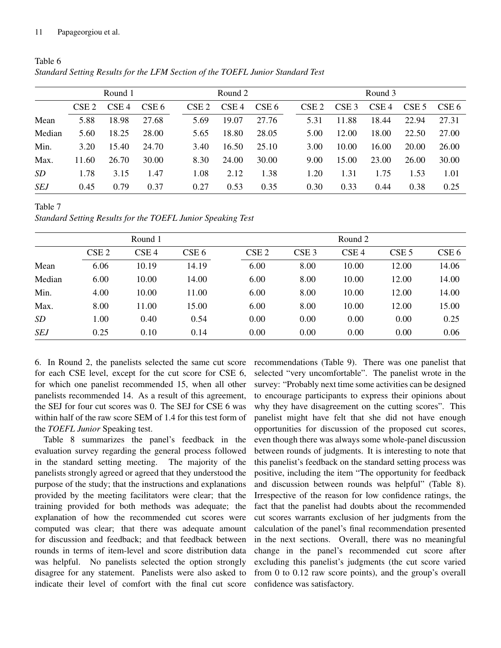#### 11 Papageorgiou et al.

|           | Round 1          |                  |       |                  | Round 2          |                  |  | Round 3          |                  |                  |                  |       |
|-----------|------------------|------------------|-------|------------------|------------------|------------------|--|------------------|------------------|------------------|------------------|-------|
|           | CSE <sub>2</sub> | CSE <sub>4</sub> | CSE 6 | CSE <sub>2</sub> | CSE <sub>4</sub> | CSE <sub>6</sub> |  | CSE <sub>2</sub> | CSE <sub>3</sub> | CSE <sub>4</sub> | CSE <sub>5</sub> | CSE 6 |
| Mean      | 5.88             | 18.98            | 27.68 | 5.69             | 19.07            | 27.76            |  | 5.31             | 11.88            | 18.44            | 22.94            | 27.31 |
| Median    | 5.60             | 18.25            | 28.00 | 5.65             | 18.80            | 28.05            |  | 5.00             | 12.00            | 18.00            | 22.50            | 27.00 |
| Min.      | 3.20             | 15.40            | 24.70 | 3.40             | 16.50            | 25.10            |  | 3.00             | 10.00            | 16.00            | 20.00            | 26.00 |
| Max.      | 11.60            | 26.70            | 30.00 | 8.30             | 24.00            | 30.00            |  | 9.00             | 15.00            | 23.00            | 26.00            | 30.00 |
| <b>SD</b> | 1.78             | 3.15             | 1.47  | 1.08             | 2.12             | 1.38             |  | 1.20             | 1.31             | 1.75             | 1.53             | 1.01  |
| SEJ       | 0.45             | 0.79             | 0.37  | 0.27             | 0.53             | 0.35             |  | 0.30             | 0.33             | 0.44             | 0.38             | 0.25  |

Table 6 *Standard Setting Results for the LFM Section of the TOEFL Junior Standard Test*

Table 7 *Standard Setting Results for the TOEFL Junior Speaking Test*

|            |                  | Round 1          |                  |                  |                  | Round 2          |                  |                  |
|------------|------------------|------------------|------------------|------------------|------------------|------------------|------------------|------------------|
|            | CSE <sub>2</sub> | CSE <sub>4</sub> | CSE <sub>6</sub> | CSE <sub>2</sub> | CSE <sub>3</sub> | CSE <sub>4</sub> | CSE <sub>5</sub> | CSE <sub>6</sub> |
| Mean       | 6.06             | 10.19            | 14.19            | 6.00             | 8.00             | 10.00            | 12.00            | 14.06            |
| Median     | 6.00             | 10.00            | 14.00            | 6.00             | 8.00             | 10.00            | 12.00            | 14.00            |
| Min.       | 4.00             | 10.00            | 11.00            | 6.00             | 8.00             | 10.00            | 12.00            | 14.00            |
| Max.       | 8.00             | 11.00            | 15.00            | 6.00             | 8.00             | 10.00            | 12.00            | 15.00            |
| SD         | 1.00             | 0.40             | 0.54             | 0.00             | 0.00             | 0.00             | 0.00             | 0.25             |
| <b>SEJ</b> | 0.25             | 0.10             | 0.14             | 0.00             | 0.00             | 0.00             | 0.00             | 0.06             |

6. In Round 2, the panelists selected the same cut score for each CSE level, except for the cut score for CSE 6, for which one panelist recommended 15, when all other panelists recommended 14. As a result of this agreement, the SEJ for four cut scores was 0. The SEJ for CSE 6 was within half of the raw score SEM of 1.4 for this test form of the *TOEFL Junior* Speaking test.

Table 8 summarizes the panel's feedback in the evaluation survey regarding the general process followed in the standard setting meeting. The majority of the panelists strongly agreed or agreed that they understood the purpose of the study; that the instructions and explanations provided by the meeting facilitators were clear; that the training provided for both methods was adequate; the explanation of how the recommended cut scores were computed was clear; that there was adequate amount for discussion and feedback; and that feedback between rounds in terms of item-level and score distribution data was helpful. No panelists selected the option strongly disagree for any statement. Panelists were also asked to indicate their level of comfort with the final cut score

recommendations (Table 9). There was one panelist that selected "very uncomfortable". The panelist wrote in the survey: "Probably next time some activities can be designed to encourage participants to express their opinions about why they have disagreement on the cutting scores". This panelist might have felt that she did not have enough opportunities for discussion of the proposed cut scores, even though there was always some whole-panel discussion between rounds of judgments. It is interesting to note that this panelist's feedback on the standard setting process was positive, including the item "The opportunity for feedback and discussion between rounds was helpful" (Table 8). Irrespective of the reason for low confidence ratings, the fact that the panelist had doubts about the recommended cut scores warrants exclusion of her judgments from the calculation of the panel's final recommendation presented in the next sections. Overall, there was no meaningful change in the panel's recommended cut score after excluding this panelist's judgments (the cut score varied from 0 to 0.12 raw score points), and the group's overall confidence was satisfactory.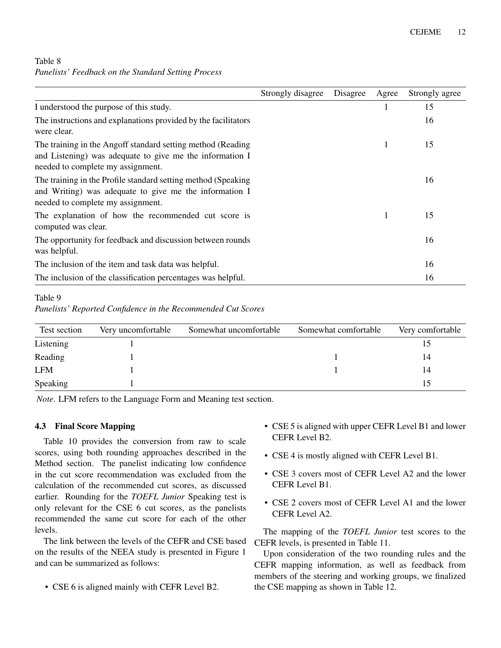| Table 8 |                                                     |  |  |
|---------|-----------------------------------------------------|--|--|
|         | Panelists' Feedback on the Standard Setting Process |  |  |

|                                                                                                                                                               | Strongly disagree | Disagree | Agree | Strongly agree |
|---------------------------------------------------------------------------------------------------------------------------------------------------------------|-------------------|----------|-------|----------------|
| I understood the purpose of this study.                                                                                                                       |                   |          |       | 15             |
| The instructions and explanations provided by the facilitators<br>were clear.                                                                                 |                   |          |       | 16             |
| The training in the Angoff standard setting method (Reading)<br>and Listening) was adequate to give me the information I<br>needed to complete my assignment. |                   |          |       | 15             |
| The training in the Profile standard setting method (Speaking)<br>and Writing) was adequate to give me the information I<br>needed to complete my assignment. |                   |          |       | 16             |
| The explanation of how the recommended cut score is<br>computed was clear.                                                                                    |                   |          |       | 15             |
| The opportunity for feedback and discussion between rounds<br>was helpful.                                                                                    |                   |          |       | 16             |
| The inclusion of the item and task data was helpful.                                                                                                          |                   |          |       | 16             |
| The inclusion of the classification percentages was helpful.                                                                                                  |                   |          |       | 16             |

## Table 9

*Panelists' Reported Confidence in the Recommended Cut Scores*

| Test section | Very uncomfortable | Somewhat uncomfortable | Somewhat comfortable | Very comfortable |
|--------------|--------------------|------------------------|----------------------|------------------|
| Listening    |                    |                        |                      |                  |
| Reading      |                    |                        |                      | 14               |
| LFM          |                    |                        |                      | 14               |
| Speaking     |                    |                        |                      | 15               |

*Note*. LFM refers to the Language Form and Meaning test section.

## 4.3 Final Score Mapping

Table 10 provides the conversion from raw to scale scores, using both rounding approaches described in the Method section. The panelist indicating low confidence in the cut score recommendation was excluded from the calculation of the recommended cut scores, as discussed earlier. Rounding for the *TOEFL Junior* Speaking test is only relevant for the CSE 6 cut scores, as the panelists recommended the same cut score for each of the other levels.

The link between the levels of the CEFR and CSE based on the results of the NEEA study is presented in Figure 1 and can be summarized as follows:

• CSE 6 is aligned mainly with CEFR Level B2.

- CSE 5 is aligned with upper CEFR Level B1 and lower CEFR Level B2.
- CSE 4 is mostly aligned with CEFR Level B1.
- CSE 3 covers most of CEFR Level A2 and the lower CEFR Level B1.
- CSE 2 covers most of CEFR Level A1 and the lower CEFR Level A2.

The mapping of the *TOEFL Junior* test scores to the CEFR levels, is presented in Table 11.

Upon consideration of the two rounding rules and the CEFR mapping information, as well as feedback from members of the steering and working groups, we finalized the CSE mapping as shown in Table 12.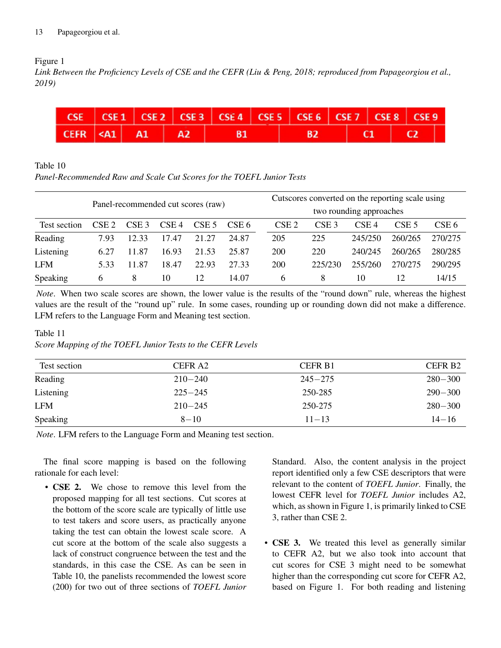## Figure 1

*Link Between the Proficiency Levels of CSE and the CEFR (Liu & Peng, 2018; reproduced from Papageorgiou et al., 2019)*



## Table 10

*Panel-Recommended Raw and Scale Cut Scores for the TOEFL Junior Tests*

|                                    |                  |                  |                  |                  |       | Cutscores converted on the reporting scale using |                         |                  |                  |                  |  |  |
|------------------------------------|------------------|------------------|------------------|------------------|-------|--------------------------------------------------|-------------------------|------------------|------------------|------------------|--|--|
| Panel-recommended cut scores (raw) |                  |                  |                  |                  |       |                                                  | two rounding approaches |                  |                  |                  |  |  |
| Test section                       | CSE <sub>2</sub> | CSE <sub>3</sub> | CSE <sub>4</sub> | CSE <sub>5</sub> | CSE 6 | CSE <sub>2</sub>                                 | CSE <sub>3</sub>        | CSE <sub>4</sub> | CSE <sub>5</sub> | CSE <sub>6</sub> |  |  |
| Reading                            | 7.93             | 12.33            | 17.47            | 21.27            | 24.87 | 205                                              | 225                     | 245/250          | 260/265          | 270/275          |  |  |
| Listening                          | 6.27             | 11.87            | 16.93            | 21.53            | 25.87 | 200                                              | 220                     | 240/245          | 260/265          | 280/285          |  |  |
| <b>LFM</b>                         | 5.33             | 11.87            | 18.47            | 22.93            | 27.33 | 200                                              | 225/230                 | 255/260          | 270/275          | 290/295          |  |  |
| Speaking                           | <sub>b</sub>     | 8                | 10               | 12               | 14.07 | 6                                                | 8                       | 10               | 12               | 14/15            |  |  |

*Note*. When two scale scores are shown, the lower value is the results of the "round down" rule, whereas the highest values are the result of the "round up" rule. In some cases, rounding up or rounding down did not make a difference. LFM refers to the Language Form and Meaning test section.

## Table 11

*Score Mapping of the TOEFL Junior Tests to the CEFR Levels*

| Test section | CEFR <sub>A2</sub> | CEFR B <sub>1</sub> | CEFR <sub>B2</sub> |
|--------------|--------------------|---------------------|--------------------|
| Reading      | $210 - 240$        | $245 - 275$         | $280 - 300$        |
| Listening    | $225 - 245$        | 250-285             | $290 - 300$        |
| <b>LFM</b>   | $210 - 245$        | 250-275             | $280 - 300$        |
| Speaking     | $8 - 10$           | $11 - 13$           | $14 - 16$          |

*Note*. LFM refers to the Language Form and Meaning test section.

The final score mapping is based on the following rationale for each level:

• **CSE 2.** We chose to remove this level from the proposed mapping for all test sections. Cut scores at the bottom of the score scale are typically of little use to test takers and score users, as practically anyone taking the test can obtain the lowest scale score. A cut score at the bottom of the scale also suggests a lack of construct congruence between the test and the standards, in this case the CSE. As can be seen in Table 10, the panelists recommended the lowest score (200) for two out of three sections of *TOEFL Junior* Standard. Also, the content analysis in the project report identified only a few CSE descriptors that were relevant to the content of *TOEFL Junior*. Finally, the lowest CEFR level for *TOEFL Junior* includes A2, which, as shown in Figure 1, is primarily linked to CSE 3, rather than CSE 2.

• **CSE 3.** We treated this level as generally similar to CEFR A2, but we also took into account that cut scores for CSE 3 might need to be somewhat higher than the corresponding cut score for CEFR A2, based on Figure 1. For both reading and listening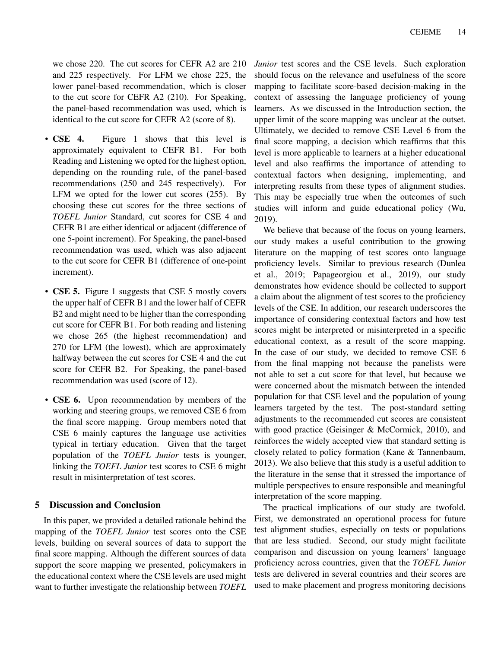we chose 220. The cut scores for CEFR A2 are 210 and 225 respectively. For LFM we chose 225, the lower panel-based recommendation, which is closer to the cut score for CEFR A2 (210). For Speaking, the panel-based recommendation was used, which is identical to the cut score for CEFR A2 (score of 8).

- CSE 4. Figure 1 shows that this level is approximately equivalent to CEFR B1. For both Reading and Listening we opted for the highest option, depending on the rounding rule, of the panel-based recommendations (250 and 245 respectively). For LFM we opted for the lower cut scores (255). By choosing these cut scores for the three sections of *TOEFL Junior* Standard, cut scores for CSE 4 and CEFR B1 are either identical or adjacent (difference of one 5-point increment). For Speaking, the panel-based recommendation was used, which was also adjacent to the cut score for CEFR B1 (difference of one-point increment).
- CSE 5. Figure 1 suggests that CSE 5 mostly covers the upper half of CEFR B1 and the lower half of CEFR B2 and might need to be higher than the corresponding cut score for CEFR B1. For both reading and listening we chose 265 (the highest recommendation) and 270 for LFM (the lowest), which are approximately halfway between the cut scores for CSE 4 and the cut score for CEFR B2. For Speaking, the panel-based recommendation was used (score of 12).
- CSE 6. Upon recommendation by members of the working and steering groups, we removed CSE 6 from the final score mapping. Group members noted that CSE 6 mainly captures the language use activities typical in tertiary education. Given that the target population of the *TOEFL Junior* tests is younger, linking the *TOEFL Junior* test scores to CSE 6 might result in misinterpretation of test scores.

## 5 Discussion and Conclusion

In this paper, we provided a detailed rationale behind the mapping of the *TOEFL Junior* test scores onto the CSE levels, building on several sources of data to support the final score mapping. Although the different sources of data support the score mapping we presented, policymakers in the educational context where the CSE levels are used might want to further investigate the relationship between *TOEFL* *Junior* test scores and the CSE levels. Such exploration should focus on the relevance and usefulness of the score mapping to facilitate score-based decision-making in the context of assessing the language proficiency of young learners. As we discussed in the Introduction section, the upper limit of the score mapping was unclear at the outset. Ultimately, we decided to remove CSE Level 6 from the final score mapping, a decision which reaffirms that this level is more applicable to learners at a higher educational level and also reaffirms the importance of attending to contextual factors when designing, implementing, and interpreting results from these types of alignment studies. This may be especially true when the outcomes of such studies will inform and guide educational policy (Wu, 2019).

We believe that because of the focus on young learners, our study makes a useful contribution to the growing literature on the mapping of test scores onto language proficiency levels. Similar to previous research (Dunlea et al., 2019; Papageorgiou et al., 2019), our study demonstrates how evidence should be collected to support a claim about the alignment of test scores to the proficiency levels of the CSE. In addition, our research underscores the importance of considering contextual factors and how test scores might be interpreted or misinterpreted in a specific educational context, as a result of the score mapping. In the case of our study, we decided to remove CSE 6 from the final mapping not because the panelists were not able to set a cut score for that level, but because we were concerned about the mismatch between the intended population for that CSE level and the population of young learners targeted by the test. The post-standard setting adjustments to the recommended cut scores are consistent with good practice (Geisinger & McCormick, 2010), and reinforces the widely accepted view that standard setting is closely related to policy formation (Kane & Tannenbaum, 2013). We also believe that this study is a useful addition to the literature in the sense that it stressed the importance of multiple perspectives to ensure responsible and meaningful interpretation of the score mapping.

The practical implications of our study are twofold. First, we demonstrated an operational process for future test alignment studies, especially on tests or populations that are less studied. Second, our study might facilitate comparison and discussion on young learners' language proficiency across countries, given that the *TOEFL Junior* tests are delivered in several countries and their scores are used to make placement and progress monitoring decisions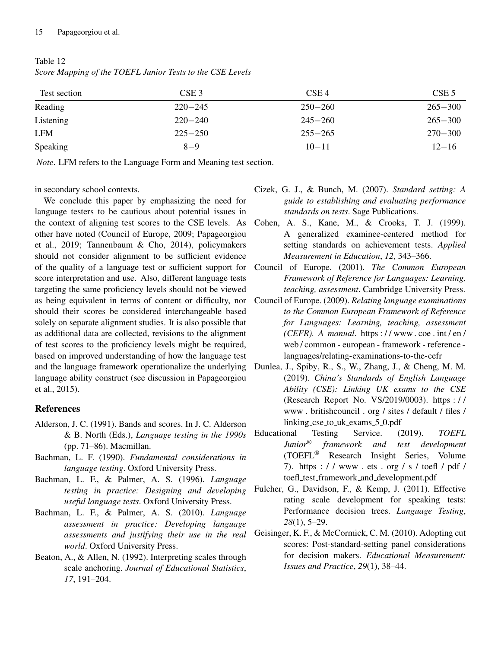|             |                                 | CSE <sub>5</sub>                |
|-------------|---------------------------------|---------------------------------|
|             |                                 | $265 - 300$                     |
| $220 - 240$ | $245 - 260$                     | $265 - 300$                     |
| $225 - 250$ | $255 - 265$                     | $270 - 300$                     |
| $8 - 9$     | $10 - 11$                       | $12 - 16$                       |
|             | CSE <sub>3</sub><br>$220 - 245$ | CSE <sub>4</sub><br>$250 - 260$ |

Table 12 *Score Mapping of the TOEFL Junior Tests to the CSE Levels*

*Note*. LFM refers to the Language Form and Meaning test section.

in secondary school contexts.

We conclude this paper by emphasizing the need for language testers to be cautious about potential issues in the context of aligning test scores to the CSE levels. As other have noted (Council of Europe, 2009; Papageorgiou et al., 2019; Tannenbaum & Cho, 2014), policymakers should not consider alignment to be sufficient evidence of the quality of a language test or sufficient support for score interpretation and use. Also, different language tests targeting the same proficiency levels should not be viewed as being equivalent in terms of content or difficulty, nor should their scores be considered interchangeable based solely on separate alignment studies. It is also possible that as additional data are collected, revisions to the alignment of test scores to the proficiency levels might be required, based on improved understanding of how the language test and the language framework operationalize the underlying language ability construct (see discussion in Papageorgiou et al., 2015).

## References

- Alderson, J. C. (1991). Bands and scores. In J. C. Alderson & B. North (Eds.), *Language testing in the 1990s* (pp. 71–86). Macmillan.
- Bachman, L. F. (1990). *Fundamental considerations in language testing*. Oxford University Press.
- Bachman, L. F., & Palmer, A. S. (1996). *Language testing in practice: Designing and developing useful language tests*. Oxford University Press.
- Bachman, L. F., & Palmer, A. S. (2010). *Language assessment in practice: Developing language assessments and justifying their use in the real world*. Oxford University Press.
- Beaton, A., & Allen, N. (1992). Interpreting scales through scale anchoring. *Journal of Educational Statistics*, *17*, 191–204.
- Cizek, G. J., & Bunch, M. (2007). *Standard setting: A guide to establishing and evaluating performance standards on tests*. Sage Publications.
- Cohen, A. S., Kane, M., & Crooks, T. J. (1999). A generalized examinee-centered method for setting standards on achievement tests. *Applied Measurement in Education*, *12*, 343–366.
- Council of Europe. (2001). *The Common European Framework of Reference for Languages: Learning, teaching, assessment*. Cambridge University Press.
- Council of Europe. (2009). *Relating language examinations to the Common European Framework of Reference for Languages: Learning, teaching, assessment (CEFR). A manual*. https : / / www . coe . int / en / web / common - european - framework - reference languages/relating-examinations-to-the-cefr
- Dunlea, J., Spiby, R., S., W., Zhang, J., & Cheng, M. M. (2019). *China's Standards of English Language Ability (CSE): Linking UK exams to the CSE* (Research Report No. VS/2019/0003). https : / / www . britishcouncil . org / sites / default / files / linking cse to uk exams 5 0.pdf
- Educational Testing Service. (2019). *TOEFL Junior® framework and test development* (TOEFL® Research Insight Series, Volume 7). https://www.ets.org/s/toefl/pdf/ toefl test framework and development.pdf
- Fulcher, G., Davidson, F., & Kemp, J. (2011). Effective rating scale development for speaking tests: Performance decision trees. *Language Testing*, *28*(1), 5–29.
- Geisinger, K. F., & McCormick, C. M. (2010). Adopting cut scores: Post-standard-setting panel considerations for decision makers. *Educational Measurement: Issues and Practice*, *29*(1), 38–44.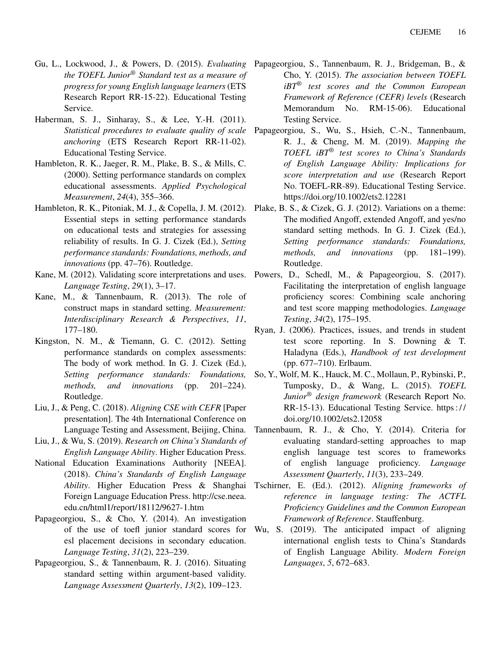- *the TOEFL Junior® Standard test as a measure of progress for young English language learners* (ETS Research Report RR-15-22). Educational Testing Service.
- Haberman, S. J., Sinharay, S., & Lee, Y.-H. (2011). *Statistical procedures to evaluate quality of scale anchoring* (ETS Research Report RR-11-02). Educational Testing Service.
- Hambleton, R. K., Jaeger, R. M., Plake, B. S., & Mills, C. (2000). Setting performance standards on complex educational assessments. *Applied Psychological Measurement*, *24*(4), 355–366.
- Hambleton, R. K., Pitoniak, M. J., & Copella, J. M. (2012). Essential steps in setting performance standards on educational tests and strategies for assessing reliability of results. In G. J. Cizek (Ed.), *Setting performance standards: Foundations, methods, and innovations* (pp. 47–76). Routledge.
- Kane, M. (2012). Validating score interpretations and uses. Powers, D., Schedl, M., & Papageorgiou, S. (2017). *Language Testing*, *29*(1), 3–17.
- Kane, M., & Tannenbaum, R. (2013). The role of construct maps in standard setting. *Measurement: Interdisciplinary Research & Perspectives*, *11*, 177–180.
- Kingston, N. M., & Tiemann, G. C. (2012). Setting performance standards on complex assessments: The body of work method. In G. J. Cizek (Ed.), *Setting performance standards: Foundations, methods, and innovations* (pp. 201–224). Routledge.
- Liu, J., & Peng, C. (2018). *Aligning CSE with CEFR* [Paper presentation]. The 4th International Conference on Language Testing and Assessment, Beijing, China.
- Liu, J., & Wu, S. (2019). *Research on China's Standards of English Language Ability*. Higher Education Press.
- National Education Examinations Authority [NEEA]. (2018). *China's Standards of English Language Ability*. Higher Education Press & Shanghai Foreign Language Education Press. http://cse.neea. edu.cn/html1/report/18112/9627-1.htm
- Papageorgiou, S., & Cho, Y. (2014). An investigation of the use of toefl junior standard scores for esl placement decisions in secondary education. *Language Testing*, *31*(2), 223–239.
- Papageorgiou, S., & Tannenbaum, R. J. (2016). Situating standard setting within argument-based validity. *Language Assessment Quarterly*, *13*(2), 109–123.
- Gu, L., Lockwood, J., & Powers, D. (2015). *Evaluating* Papageorgiou, S., Tannenbaum, R. J., Bridgeman, B., & Cho, Y. (2015). *The association between TOEFL iBT® test scores and the Common European Framework of Reference (CEFR) levels* (Research Memorandum No. RM-15-06). Educational Testing Service.
	- Papageorgiou, S., Wu, S., Hsieh, C.-N., Tannenbaum, R. J., & Cheng, M. M. (2019). *Mapping the TOEFL iBT® test scores to China's Standards of English Language Ability: Implications for score interpretation and use* (Research Report No. TOEFL-RR-89). Educational Testing Service. https://doi.org/10.1002/ets2.12281
	- Plake, B. S., & Cizek, G. J. (2012). Variations on a theme: The modified Angoff, extended Angoff, and yes/no standard setting methods. In G. J. Cizek (Ed.), *Setting performance standards: Foundations, methods, and innovations* (pp. 181–199). Routledge.
	- Facilitating the interpretation of english language proficiency scores: Combining scale anchoring and test score mapping methodologies. *Language Testing*, *34*(2), 175–195.
	- Ryan, J. (2006). Practices, issues, and trends in student test score reporting. In S. Downing & T. Haladyna (Eds.), *Handbook of test development* (pp. 677–710). Erlbaum.
	- So, Y., Wolf, M. K., Hauck, M. C., Mollaun, P., Rybinski, P., Tumposky, D., & Wang, L. (2015). *TOEFL Junior® design framework* (Research Report No. RR-15-13). Educational Testing Service. https : / / doi.org/10.1002/ets2.12058
	- Tannenbaum, R. J., & Cho, Y. (2014). Criteria for evaluating standard-setting approaches to map english language test scores to frameworks of english language proficiency. *Language Assessment Quarterly*, *11*(3), 233–249.
	- Tschirner, E. (Ed.). (2012). *Aligning frameworks of reference in language testing: The ACTFL Proficiency Guidelines and the Common European Framework of Reference*. Stauffenburg.
	- Wu, S. (2019). The anticipated impact of aligning international english tests to China's Standards of English Language Ability. *Modern Foreign Languages*, *5*, 672–683.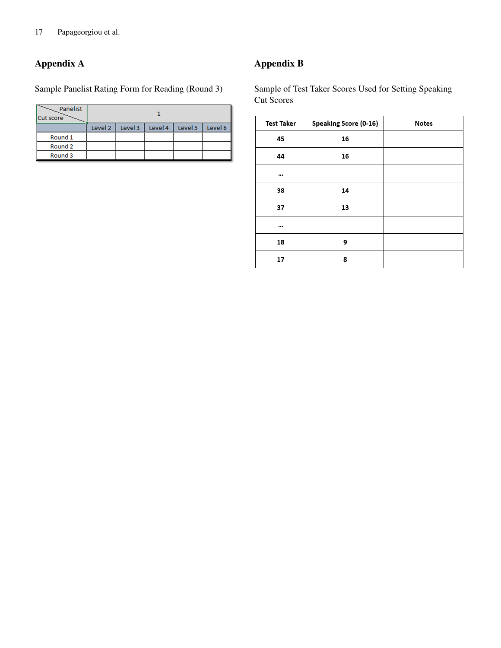## Appendix A

Sample Panelist Rating Form for Reading (Round 3)

| <b>Panelist</b><br><b>Cut score</b> |                    |         |         |         |         |
|-------------------------------------|--------------------|---------|---------|---------|---------|
|                                     | Level <sub>2</sub> | Level 3 | Level 4 | Level 5 | Level 6 |
| Round 1                             |                    |         |         |         |         |
| Round 2                             |                    |         |         |         |         |
| Round <sub>3</sub>                  |                    |         |         |         |         |

Appendix B

Sample of Test Taker Scores Used for Setting Speaking Cut Scores

| <b>Test Taker</b> | Speaking Score (0-16) | <b>Notes</b> |
|-------------------|-----------------------|--------------|
| 45                | 16                    |              |
| 44                | 16                    |              |
| $\cdots$          |                       |              |
| 38                | 14                    |              |
| 37                | 13                    |              |
| $\cdots$          |                       |              |
| 18                | 9                     |              |
| 17                | 8                     |              |